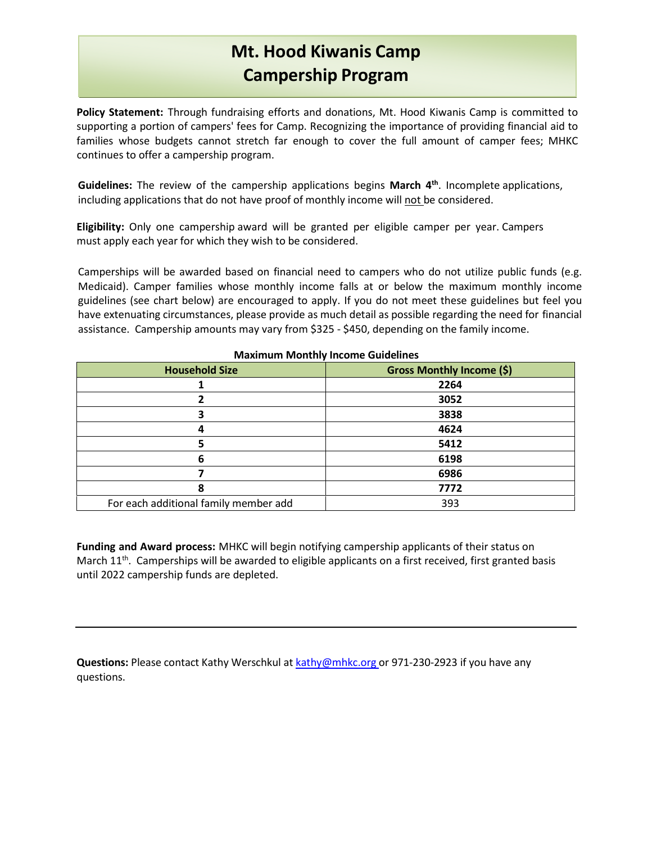## **Mt. Hood Kiwanis Camp Campership Program**

**Policy Statement:** Through fundraising efforts and donations, Mt. Hood Kiwanis Camp is committed to supporting a portion of campers' fees for Camp. Recognizing the importance of providing financial aid to families whose budgets cannot stretch far enough to cover the full amount of camper fees; MHKC continues to offer a campership program.

**Guidelines:** The review of the campership applications begins **March 4th**. Incomplete applications, including applications that do not have proof of monthly income will not be considered.

**Eligibility:** Only one campership award will be granted per eligible camper per year. Campers must apply each year for which they wish to be considered.

Camperships will be awarded based on financial need to campers who do not utilize public funds (e.g. Medicaid). Camper families whose monthly income falls at or below the maximum monthly income guidelines (see chart below) are encouraged to apply. If you do not meet these guidelines but feel you have extenuating circumstances, please provide as much detail as possible regarding the need for financial assistance. Campership amounts may vary from \$325 - \$450, depending on the family income.

| <b>HUARTHAIR HUORGHY HIGOHIG GARGERICS</b> |                                  |  |  |  |
|--------------------------------------------|----------------------------------|--|--|--|
| <b>Household Size</b>                      | <b>Gross Monthly Income (\$)</b> |  |  |  |
|                                            | 2264                             |  |  |  |
|                                            | 3052                             |  |  |  |
|                                            | 3838                             |  |  |  |
|                                            | 4624                             |  |  |  |
|                                            | 5412                             |  |  |  |
| 6                                          | 6198                             |  |  |  |
|                                            | 6986                             |  |  |  |
| 8                                          | 7772                             |  |  |  |
| For each additional family member add      | 393                              |  |  |  |

**Maximum Monthly Income Guidelines**

**Funding and Award process:** MHKC will begin notifying campership applicants of their status on March 11<sup>th</sup>. Camperships will be awarded to eligible applicants on a first received, first granted basis until 2022 campership funds are depleted.

**Questions:** Please contact Kathy Werschkul at [kathy@mhkc.org](mailto:kathy@mhkc.org) or 971-230-2923 if you have any questions.